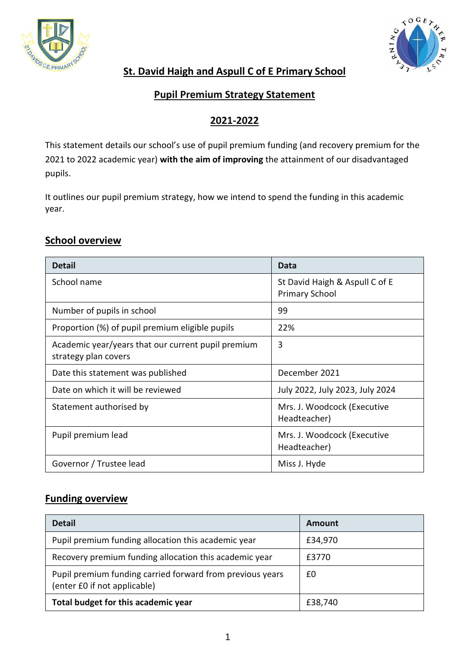



## **St. David Haigh and Aspull C of E Primary School**

#### **Pupil Premium Strategy Statement**

## **2021-2022**

This statement details our school's use of pupil premium funding (and recovery premium for the 2021 to 2022 academic year) **with the aim of improving** the attainment of our disadvantaged pupils.

It outlines our pupil premium strategy, how we intend to spend the funding in this academic year.

#### **School overview**

| <b>Detail</b>                                                              | Data                                                    |
|----------------------------------------------------------------------------|---------------------------------------------------------|
| School name                                                                | St David Haigh & Aspull C of E<br><b>Primary School</b> |
| Number of pupils in school                                                 | 99                                                      |
| Proportion (%) of pupil premium eligible pupils                            | 22%                                                     |
| Academic year/years that our current pupil premium<br>strategy plan covers | 3                                                       |
| Date this statement was published                                          | December 2021                                           |
| Date on which it will be reviewed                                          | July 2022, July 2023, July 2024                         |
| Statement authorised by                                                    | Mrs. J. Woodcock (Executive<br>Headteacher)             |
| Pupil premium lead                                                         | Mrs. J. Woodcock (Executive<br>Headteacher)             |
| Governor / Trustee lead                                                    | Miss J. Hyde                                            |

# **Funding overview**

| <b>Detail</b>                                                                             | Amount  |
|-------------------------------------------------------------------------------------------|---------|
| Pupil premium funding allocation this academic year                                       | £34,970 |
| Recovery premium funding allocation this academic year                                    | £3770   |
| Pupil premium funding carried forward from previous years<br>(enter £0 if not applicable) | £0      |
| Total budget for this academic year                                                       | £38,740 |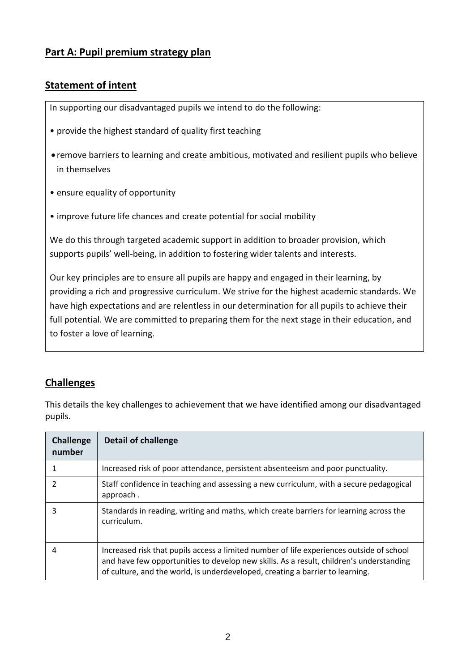### **Part A: Pupil premium strategy plan**

### **Statement of intent**

In supporting our disadvantaged pupils we intend to do the following:

- provide the highest standard of quality first teaching
- remove barriers to learning and create ambitious, motivated and resilient pupils who believe in themselves
- ensure equality of opportunity
- improve future life chances and create potential for social mobility

We do this through targeted academic support in addition to broader provision, which supports pupils' well-being, in addition to fostering wider talents and interests.

Our key principles are to ensure all pupils are happy and engaged in their learning, by providing a rich and progressive curriculum. We strive for the highest academic standards. We have high expectations and are relentless in our determination for all pupils to achieve their full potential. We are committed to preparing them for the next stage in their education, and to foster a love of learning.

## **Challenges**

This details the key challenges to achievement that we have identified among our disadvantaged pupils.

| <b>Challenge</b><br>number | <b>Detail of challenge</b>                                                                                                                                                                                                                                           |
|----------------------------|----------------------------------------------------------------------------------------------------------------------------------------------------------------------------------------------------------------------------------------------------------------------|
|                            | Increased risk of poor attendance, persistent absenteeism and poor punctuality.                                                                                                                                                                                      |
|                            | Staff confidence in teaching and assessing a new curriculum, with a secure pedagogical<br>approach.                                                                                                                                                                  |
| 3                          | Standards in reading, writing and maths, which create barriers for learning across the<br>curriculum.                                                                                                                                                                |
| 4                          | Increased risk that pupils access a limited number of life experiences outside of school<br>and have few opportunities to develop new skills. As a result, children's understanding<br>of culture, and the world, is underdeveloped, creating a barrier to learning. |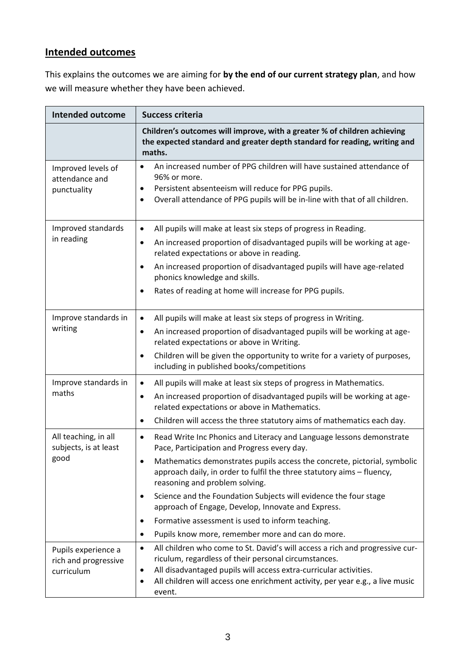# **Intended outcomes**

This explains the outcomes we are aiming for **by the end of our current strategy plan**, and how we will measure whether they have been achieved.

| <b>Intended outcome</b>                                   | <b>Success criteria</b>                                                                                                                                                                                                                                                                                                                                                                                                                                                                                                                                                                   |  |  |
|-----------------------------------------------------------|-------------------------------------------------------------------------------------------------------------------------------------------------------------------------------------------------------------------------------------------------------------------------------------------------------------------------------------------------------------------------------------------------------------------------------------------------------------------------------------------------------------------------------------------------------------------------------------------|--|--|
|                                                           | Children's outcomes will improve, with a greater % of children achieving<br>the expected standard and greater depth standard for reading, writing and<br>maths.                                                                                                                                                                                                                                                                                                                                                                                                                           |  |  |
| Improved levels of<br>attendance and<br>punctuality       | An increased number of PPG children will have sustained attendance of<br>$\bullet$<br>96% or more.<br>Persistent absenteeism will reduce for PPG pupils.<br>$\bullet$<br>Overall attendance of PPG pupils will be in-line with that of all children.<br>$\bullet$                                                                                                                                                                                                                                                                                                                         |  |  |
| Improved standards<br>in reading                          | All pupils will make at least six steps of progress in Reading.<br>$\bullet$<br>An increased proportion of disadvantaged pupils will be working at age-<br>$\bullet$<br>related expectations or above in reading.<br>An increased proportion of disadvantaged pupils will have age-related<br>$\bullet$<br>phonics knowledge and skills.<br>Rates of reading at home will increase for PPG pupils.<br>$\bullet$                                                                                                                                                                           |  |  |
| Improve standards in<br>writing                           | All pupils will make at least six steps of progress in Writing.<br>$\bullet$<br>An increased proportion of disadvantaged pupils will be working at age-<br>$\bullet$<br>related expectations or above in Writing.<br>Children will be given the opportunity to write for a variety of purposes,<br>$\bullet$<br>including in published books/competitions                                                                                                                                                                                                                                 |  |  |
| Improve standards in<br>maths                             | All pupils will make at least six steps of progress in Mathematics.<br>$\bullet$<br>An increased proportion of disadvantaged pupils will be working at age-<br>$\bullet$<br>related expectations or above in Mathematics.<br>Children will access the three statutory aims of mathematics each day.<br>$\bullet$                                                                                                                                                                                                                                                                          |  |  |
| All teaching, in all<br>subjects, is at least<br>good     | Read Write Inc Phonics and Literacy and Language lessons demonstrate<br>$\bullet$<br>Pace, Participation and Progress every day.<br>Mathematics demonstrates pupils access the concrete, pictorial, symbolic<br>٠<br>approach daily, in order to fulfil the three statutory aims - fluency,<br>reasoning and problem solving.<br>Science and the Foundation Subjects will evidence the four stage<br>$\bullet$<br>approach of Engage, Develop, Innovate and Express.<br>Formative assessment is used to inform teaching.<br>Pupils know more, remember more and can do more.<br>$\bullet$ |  |  |
| Pupils experience a<br>rich and progressive<br>curriculum | All children who come to St. David's will access a rich and progressive cur-<br>$\bullet$<br>riculum, regardless of their personal circumstances.<br>All disadvantaged pupils will access extra-curricular activities.<br>$\bullet$<br>All children will access one enrichment activity, per year e.g., a live music<br>$\bullet$<br>event.                                                                                                                                                                                                                                               |  |  |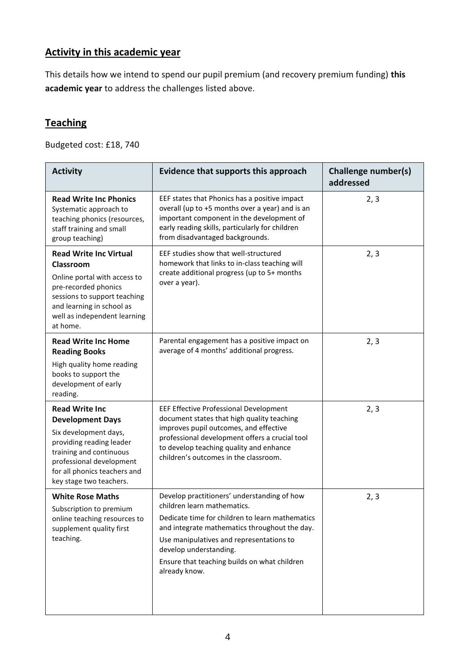# **Activity in this academic year**

This details how we intend to spend our pupil premium (and recovery premium funding) **this academic year** to address the challenges listed above.

# **Teaching**

Budgeted cost: £18, 740

| <b>Activity</b>                                                                                                                                                                                                         | Evidence that supports this approach                                                                                                                                                                                                                                                                                  | Challenge number(s)<br>addressed |
|-------------------------------------------------------------------------------------------------------------------------------------------------------------------------------------------------------------------------|-----------------------------------------------------------------------------------------------------------------------------------------------------------------------------------------------------------------------------------------------------------------------------------------------------------------------|----------------------------------|
| <b>Read Write Inc Phonics</b><br>Systematic approach to<br>teaching phonics (resources,<br>staff training and small<br>group teaching)                                                                                  | EEF states that Phonics has a positive impact<br>overall (up to +5 months over a year) and is an<br>important component in the development of<br>early reading skills, particularly for children<br>from disadvantaged backgrounds.                                                                                   | 2, 3                             |
| <b>Read Write Inc Virtual</b><br>Classroom<br>Online portal with access to<br>pre-recorded phonics<br>sessions to support teaching<br>and learning in school as<br>well as independent learning<br>at home.             | EEF studies show that well-structured<br>homework that links to in-class teaching will<br>create additional progress (up to 5+ months<br>over a year).                                                                                                                                                                | 2, 3                             |
| <b>Read Write Inc Home</b><br><b>Reading Books</b><br>High quality home reading<br>books to support the<br>development of early<br>reading.                                                                             | Parental engagement has a positive impact on<br>average of 4 months' additional progress.                                                                                                                                                                                                                             | 2, 3                             |
| <b>Read Write Inc</b><br><b>Development Days</b><br>Six development days,<br>providing reading leader<br>training and continuous<br>professional development<br>for all phonics teachers and<br>key stage two teachers. | EEF Effective Professional Development<br>document states that high quality teaching<br>improves pupil outcomes, and effective<br>professional development offers a crucial tool<br>to develop teaching quality and enhance<br>children's outcomes in the classroom.                                                  | 2, 3                             |
| <b>White Rose Maths</b><br>Subscription to premium<br>online teaching resources to<br>supplement quality first<br>teaching.                                                                                             | Develop practitioners' understanding of how<br>children learn mathematics.<br>Dedicate time for children to learn mathematics<br>and integrate mathematics throughout the day.<br>Use manipulatives and representations to<br>develop understanding.<br>Ensure that teaching builds on what children<br>already know. | 2, 3                             |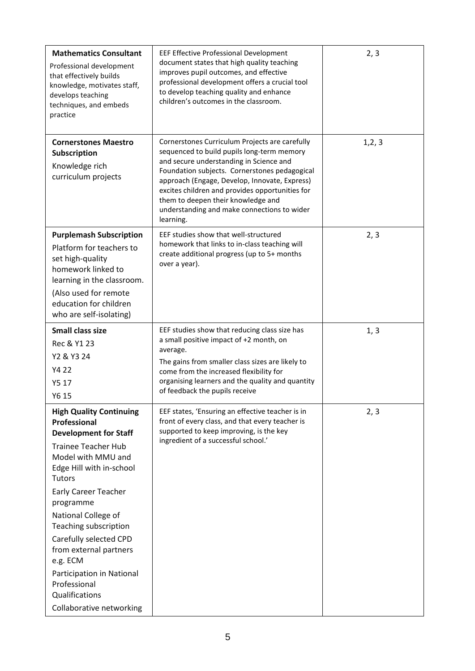| <b>Mathematics Consultant</b><br>Professional development<br>that effectively builds<br>knowledge, motivates staff,<br>develops teaching<br>techniques, and embeds<br>practice                                                                                                                                                                                                                                                                | EEF Effective Professional Development<br>document states that high quality teaching<br>improves pupil outcomes, and effective<br>professional development offers a crucial tool<br>to develop teaching quality and enhance<br>children's outcomes in the classroom.                                                                                                                           | 2, 3    |
|-----------------------------------------------------------------------------------------------------------------------------------------------------------------------------------------------------------------------------------------------------------------------------------------------------------------------------------------------------------------------------------------------------------------------------------------------|------------------------------------------------------------------------------------------------------------------------------------------------------------------------------------------------------------------------------------------------------------------------------------------------------------------------------------------------------------------------------------------------|---------|
| <b>Cornerstones Maestro</b><br>Subscription<br>Knowledge rich<br>curriculum projects                                                                                                                                                                                                                                                                                                                                                          | Cornerstones Curriculum Projects are carefully<br>sequenced to build pupils long-term memory<br>and secure understanding in Science and<br>Foundation subjects. Cornerstones pedagogical<br>approach (Engage, Develop, Innovate, Express)<br>excites children and provides opportunities for<br>them to deepen their knowledge and<br>understanding and make connections to wider<br>learning. | 1, 2, 3 |
| <b>Purplemash Subscription</b><br>Platform for teachers to<br>set high-quality<br>homework linked to<br>learning in the classroom.<br>(Also used for remote<br>education for children<br>who are self-isolating)                                                                                                                                                                                                                              | EEF studies show that well-structured<br>homework that links to in-class teaching will<br>create additional progress (up to 5+ months<br>over a year).                                                                                                                                                                                                                                         | 2, 3    |
| <b>Small class size</b><br>Rec & Y1 23<br>Y2 & Y3 24<br>Y4 22<br>Y5 17<br>Y6 15                                                                                                                                                                                                                                                                                                                                                               | EEF studies show that reducing class size has<br>a small positive impact of +2 month, on<br>average.<br>The gains from smaller class sizes are likely to<br>come from the increased flexibility for<br>organising learners and the quality and quantity<br>of feedback the pupils receive                                                                                                      | 1, 3    |
| <b>High Quality Continuing</b><br><b>Professional</b><br><b>Development for Staff</b><br><b>Trainee Teacher Hub</b><br>Model with MMU and<br>Edge Hill with in-school<br><b>Tutors</b><br><b>Early Career Teacher</b><br>programme<br>National College of<br>Teaching subscription<br>Carefully selected CPD<br>from external partners<br>e.g. ECM<br>Participation in National<br>Professional<br>Qualifications<br>Collaborative networking | EEF states, 'Ensuring an effective teacher is in<br>front of every class, and that every teacher is<br>supported to keep improving, is the key<br>ingredient of a successful school.'                                                                                                                                                                                                          | 2, 3    |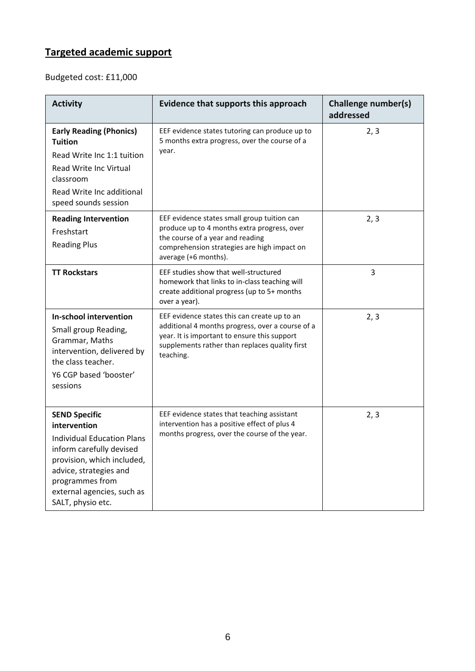# **Targeted academic support**

Budgeted cost: £11,000

| <b>Activity</b>                                                                                                                                                                                                              | Evidence that supports this approach                                                                                                                                                                            | <b>Challenge number(s)</b><br>addressed |
|------------------------------------------------------------------------------------------------------------------------------------------------------------------------------------------------------------------------------|-----------------------------------------------------------------------------------------------------------------------------------------------------------------------------------------------------------------|-----------------------------------------|
| <b>Early Reading (Phonics)</b><br><b>Tuition</b><br>Read Write Inc 1:1 tuition<br>Read Write Inc Virtual<br>classroom<br>Read Write Inc additional<br>speed sounds session                                                   | EEF evidence states tutoring can produce up to<br>5 months extra progress, over the course of a<br>year.                                                                                                        | 2, 3                                    |
| <b>Reading Intervention</b><br>Freshstart<br><b>Reading Plus</b>                                                                                                                                                             | EEF evidence states small group tuition can<br>produce up to 4 months extra progress, over<br>the course of a year and reading<br>comprehension strategies are high impact on<br>average (+6 months).           | 2, 3                                    |
| <b>TT Rockstars</b>                                                                                                                                                                                                          | EEF studies show that well-structured<br>homework that links to in-class teaching will<br>create additional progress (up to 5+ months<br>over a year).                                                          | 3                                       |
| In-school intervention<br>Small group Reading,<br>Grammar, Maths<br>intervention, delivered by<br>the class teacher.<br>Y6 CGP based 'booster'<br>sessions                                                                   | EEF evidence states this can create up to an<br>additional 4 months progress, over a course of a<br>year. It is important to ensure this support<br>supplements rather than replaces quality first<br>teaching. | 2, 3                                    |
| <b>SEND Specific</b><br>intervention<br>Individual Education Plans<br>inform carefully devised<br>provision, which included,<br>advice, strategies and<br>programmes from<br>external agencies, such as<br>SALT, physio etc. | EEF evidence states that teaching assistant<br>intervention has a positive effect of plus 4<br>months progress, over the course of the year.                                                                    | 2, 3                                    |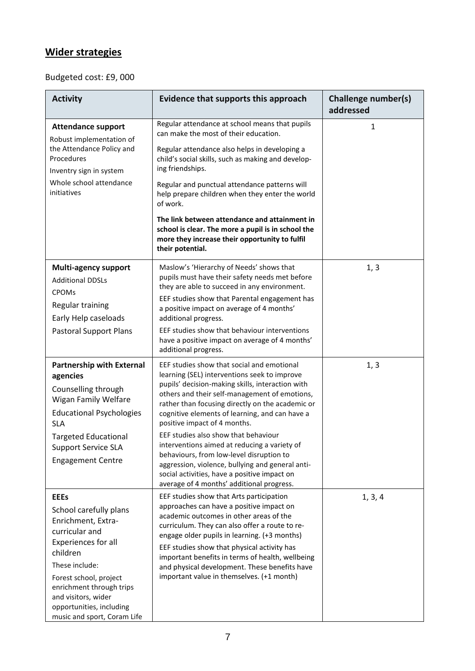# **Wider strategies**

# Budgeted cost: £9, 000

| <b>Activity</b>                                                                                                                                                                                                                                                            | Evidence that supports this approach                                                                                                                                                                                                                                                                                                                                                                                               | Challenge number(s)<br>addressed |
|----------------------------------------------------------------------------------------------------------------------------------------------------------------------------------------------------------------------------------------------------------------------------|------------------------------------------------------------------------------------------------------------------------------------------------------------------------------------------------------------------------------------------------------------------------------------------------------------------------------------------------------------------------------------------------------------------------------------|----------------------------------|
| <b>Attendance support</b><br>Robust implementation of                                                                                                                                                                                                                      | Regular attendance at school means that pupils<br>can make the most of their education.                                                                                                                                                                                                                                                                                                                                            | 1                                |
| the Attendance Policy and<br>Procedures<br>Inventry sign in system                                                                                                                                                                                                         | Regular attendance also helps in developing a<br>child's social skills, such as making and develop-<br>ing friendships.                                                                                                                                                                                                                                                                                                            |                                  |
| Whole school attendance<br>initiatives                                                                                                                                                                                                                                     | Regular and punctual attendance patterns will<br>help prepare children when they enter the world<br>of work.                                                                                                                                                                                                                                                                                                                       |                                  |
|                                                                                                                                                                                                                                                                            | The link between attendance and attainment in<br>school is clear. The more a pupil is in school the<br>more they increase their opportunity to fulfil<br>their potential.                                                                                                                                                                                                                                                          |                                  |
| <b>Multi-agency support</b><br><b>Additional DDSLs</b>                                                                                                                                                                                                                     | Maslow's 'Hierarchy of Needs' shows that<br>pupils must have their safety needs met before<br>they are able to succeed in any environment.                                                                                                                                                                                                                                                                                         | 1, 3                             |
| <b>CPOMs</b><br>Regular training<br>Early Help caseloads                                                                                                                                                                                                                   | EEF studies show that Parental engagement has<br>a positive impact on average of 4 months'<br>additional progress.                                                                                                                                                                                                                                                                                                                 |                                  |
| <b>Pastoral Support Plans</b>                                                                                                                                                                                                                                              | EEF studies show that behaviour interventions<br>have a positive impact on average of 4 months'<br>additional progress.                                                                                                                                                                                                                                                                                                            |                                  |
| <b>Partnership with External</b><br>agencies<br>Counselling through<br><b>Wigan Family Welfare</b><br><b>Educational Psychologies</b><br><b>SLA</b>                                                                                                                        | EEF studies show that social and emotional<br>learning (SEL) interventions seek to improve<br>pupils' decision-making skills, interaction with<br>others and their self-management of emotions,<br>rather than focusing directly on the academic or<br>cognitive elements of learning, and can have a<br>positive impact of 4 months.                                                                                              | 1, 3                             |
| <b>Targeted Educational</b><br><b>Support Service SLA</b><br><b>Engagement Centre</b>                                                                                                                                                                                      | EEF studies also show that behaviour<br>interventions aimed at reducing a variety of<br>behaviours, from low-level disruption to<br>aggression, violence, bullying and general anti-<br>social activities, have a positive impact on<br>average of 4 months' additional progress.                                                                                                                                                  |                                  |
| <b>EEEs</b><br>School carefully plans<br>Enrichment, Extra-<br>curricular and<br>Experiences for all<br>children<br>These include:<br>Forest school, project<br>enrichment through trips<br>and visitors, wider<br>opportunities, including<br>music and sport, Coram Life | EEF studies show that Arts participation<br>approaches can have a positive impact on<br>academic outcomes in other areas of the<br>curriculum. They can also offer a route to re-<br>engage older pupils in learning. (+3 months)<br>EEF studies show that physical activity has<br>important benefits in terms of health, wellbeing<br>and physical development. These benefits have<br>important value in themselves. (+1 month) | 1, 3, 4                          |